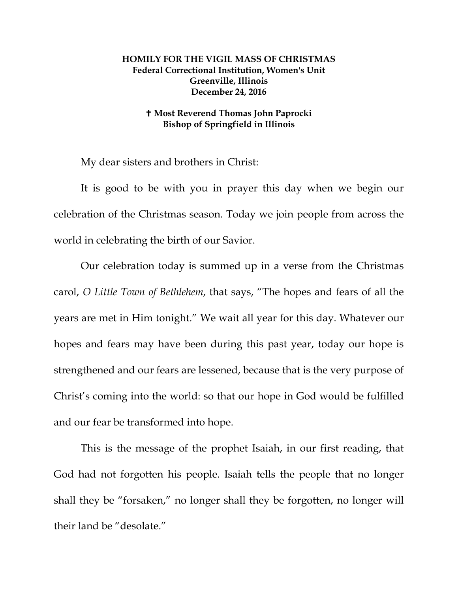## **HOMILY FOR THE VIGIL MASS OF CHRISTMAS Federal Correctional Institution, Women's Unit Greenville, Illinois December 24, 2016**

## **Most Reverend Thomas John Paprocki Bishop of Springfield in Illinois**

My dear sisters and brothers in Christ:

It is good to be with you in prayer this day when we begin our celebration of the Christmas season. Today we join people from across the world in celebrating the birth of our Savior.

Our celebration today is summed up in a verse from the Christmas carol, *O Little Town of Bethlehem*, that says, "The hopes and fears of all the years are met in Him tonight." We wait all year for this day. Whatever our hopes and fears may have been during this past year, today our hope is strengthened and our fears are lessened, because that is the very purpose of Christ's coming into the world: so that our hope in God would be fulfilled and our fear be transformed into hope.

This is the message of the prophet Isaiah, in our first reading, that God had not forgotten his people. Isaiah tells the people that no longer shall they be "forsaken," no longer shall they be forgotten, no longer will their land be "desolate."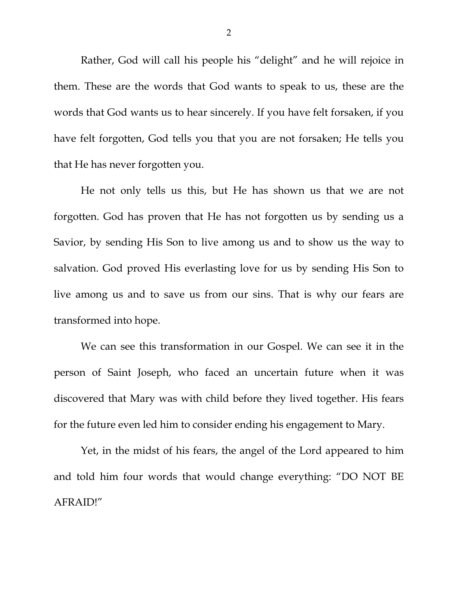Rather, God will call his people his "delight" and he will rejoice in them. These are the words that God wants to speak to us, these are the words that God wants us to hear sincerely. If you have felt forsaken, if you have felt forgotten, God tells you that you are not forsaken; He tells you that He has never forgotten you.

He not only tells us this, but He has shown us that we are not forgotten. God has proven that He has not forgotten us by sending us a Savior, by sending His Son to live among us and to show us the way to salvation. God proved His everlasting love for us by sending His Son to live among us and to save us from our sins. That is why our fears are transformed into hope.

We can see this transformation in our Gospel. We can see it in the person of Saint Joseph, who faced an uncertain future when it was discovered that Mary was with child before they lived together. His fears for the future even led him to consider ending his engagement to Mary.

Yet, in the midst of his fears, the angel of the Lord appeared to him and told him four words that would change everything: "DO NOT BE AFRAID!"

2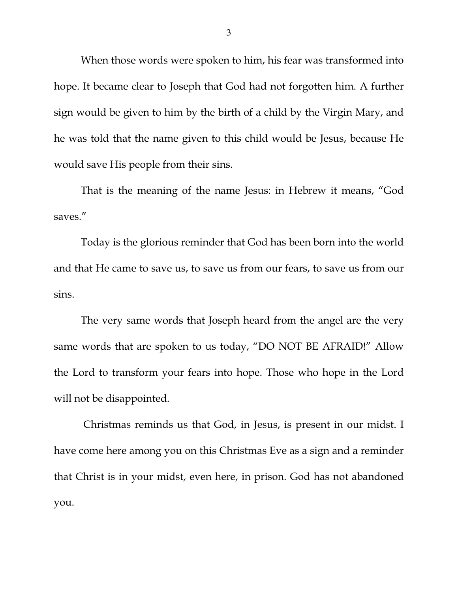When those words were spoken to him, his fear was transformed into hope. It became clear to Joseph that God had not forgotten him. A further sign would be given to him by the birth of a child by the Virgin Mary, and he was told that the name given to this child would be Jesus, because He would save His people from their sins.

That is the meaning of the name Jesus: in Hebrew it means, "God saves."

Today is the glorious reminder that God has been born into the world and that He came to save us, to save us from our fears, to save us from our sins.

The very same words that Joseph heard from the angel are the very same words that are spoken to us today, "DO NOT BE AFRAID!" Allow the Lord to transform your fears into hope. Those who hope in the Lord will not be disappointed.

Christmas reminds us that God, in Jesus, is present in our midst. I have come here among you on this Christmas Eve as a sign and a reminder that Christ is in your midst, even here, in prison. God has not abandoned you.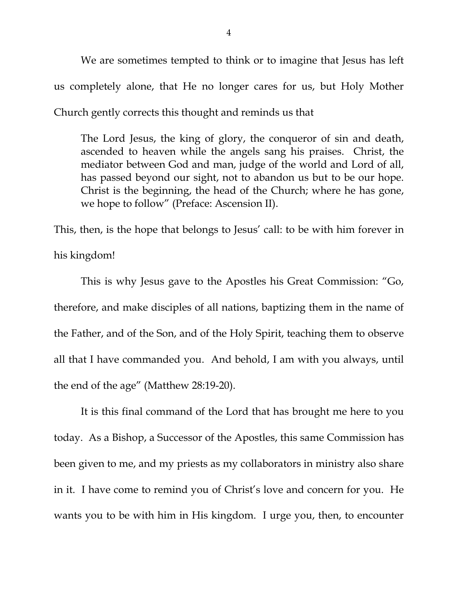We are sometimes tempted to think or to imagine that Jesus has left us completely alone, that He no longer cares for us, but Holy Mother Church gently corrects this thought and reminds us that

The Lord Jesus, the king of glory, the conqueror of sin and death, ascended to heaven while the angels sang his praises. Christ, the mediator between God and man, judge of the world and Lord of all, has passed beyond our sight, not to abandon us but to be our hope. Christ is the beginning, the head of the Church; where he has gone, we hope to follow" (Preface: Ascension II).

This, then, is the hope that belongs to Jesus' call: to be with him forever in his kingdom!

This is why Jesus gave to the Apostles his Great Commission: "Go, therefore, and make disciples of all nations, baptizing them in the name of the Father, and of the Son, and of the Holy Spirit, teaching them to observe all that I have commanded you. And behold, I am with you always, until the end of the age" (Matthew 28:19-20).

It is this final command of the Lord that has brought me here to you today. As a Bishop, a Successor of the Apostles, this same Commission has been given to me, and my priests as my collaborators in ministry also share in it. I have come to remind you of Christ's love and concern for you. He wants you to be with him in His kingdom. I urge you, then, to encounter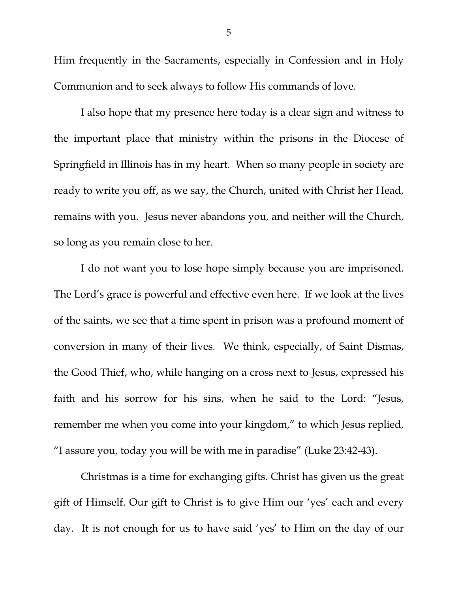Him frequently in the Sacraments, especially in Confession and in Holy Communion and to seek always to follow His commands of love.

I also hope that my presence here today is a clear sign and witness to the important place that ministry within the prisons in the Diocese of Springfield in Illinois has in my heart. When so many people in society are ready to write you off, as we say, the Church, united with Christ her Head, remains with you. Jesus never abandons you, and neither will the Church, so long as you remain close to her.

I do not want you to lose hope simply because you are imprisoned. The Lord's grace is powerful and effective even here. If we look at the lives of the saints, we see that a time spent in prison was a profound moment of conversion in many of their lives. We think, especially, of Saint Dismas, the Good Thief, who, while hanging on a cross next to Jesus, expressed his faith and his sorrow for his sins, when he said to the Lord: "Jesus, remember me when you come into your kingdom," to which Jesus replied, "I assure you, today you will be with me in paradise" (Luke 23:42-43).

Christmas is a time for exchanging gifts. Christ has given us the great gift of Himself. Our gift to Christ is to give Him our 'yes' each and every day. It is not enough for us to have said 'yes' to Him on the day of our